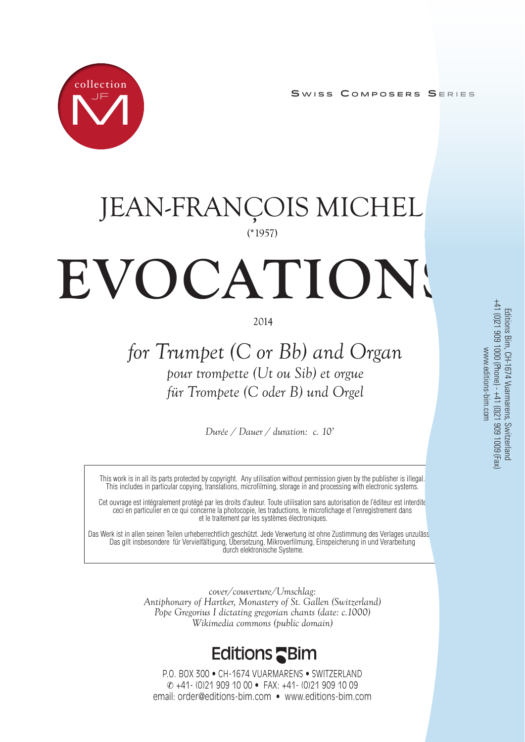

# (\*1957) JEAN-FRANÇOIS MICHEL

**EVOCATIONS**

2014

## *for Trumpet (C or Bb) and Organ pour trompette (Ut ou Sib) et orgue für Trompete (C oder B) und Orgel*

*Durée / Dauer / duration: c. 10'*

This work is in all its parts protected by copyright. Any utilisation without permission given by the publisher is illegal. This includes in particular copying, translations, microfilming, storage in and processing with electronic systems.

Cet ouvrage est intégralement protégé par les droits d'auteur. Toute utilisation sans autorisation de l'éditeur est interdite ceci en particulier en ce qui concerne la photocopie, les traductions, le microfichage et l'enregistrement dans et le traitement par les systèmes électroniques.

Das Werk ist in allen seinen Teilen urheberrechtlich geschützt. Jede Verwertung ist ohne Zustimmung des Verlages unzulässig. Das gilt insbesondere für Vervielfältigung, Übersetzung, Mikroverfilmung, Einspeicherung in und Verarbeitung durch elektronische Systeme.

> *cover/couverture/Umschlag: Antiphonary of Hartker, Monastery of St. Gallen (Switzerland) Pope Gregorius I dictating gregorian chants (date: c.1000) Wikimedia commons (public domain)*

## **Editions Shim**

P.O. BOX 300 • CH-1674 VUARMARENS • SWITZERLAND +41- (0)21 909 10 00 • FAX: +41- (0)21 909 10 09 email: order@editions-bim.com • www.editions-bim.com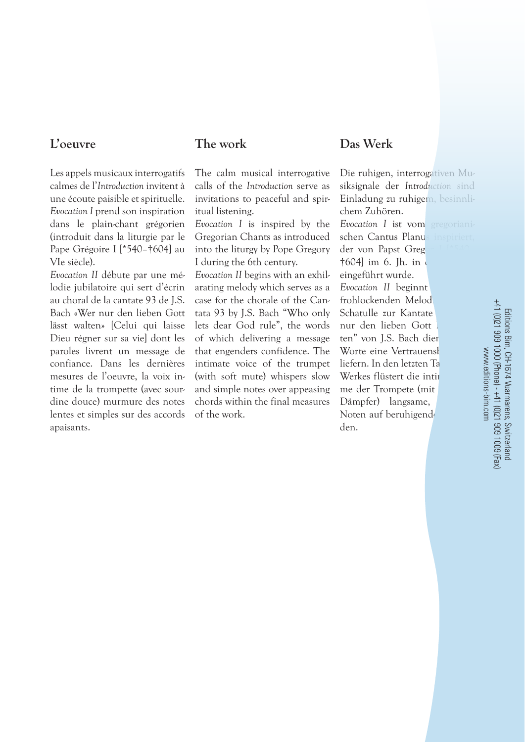#### **L'oeuvre**

Les appels musicaux interrogatifs calmes de l'*Introduction* invitent à une écoute paisible et spirituelle. *Evocation I* prend son inspiration dans le plain-chant grégorien (introduit dans la liturgie par le Pape Grégoire I [\*540–†604] au VIe siècle).

*Evocation II* débute par une mélodie jubilatoire qui sert d'écrin au choral de la cantate 93 de J.S. Bach «Wer nur den lieben Gott lässt walten» [Celui qui laisse Dieu régner sur sa vie] dont les paroles livrent un message de confiance. Dans les dernières mesures de l'oeuvre, la voix intime de la trompette (avec sourdine douce) murmure des notes lentes et simples sur des accords apaisants.

#### **The work**

The calm musical interrogative calls of the *Introduction* serve as invitations to peaceful and spiritual listening.

*Evocation I* is inspired by the Gregorian Chants as introduced into the liturgy by Pope Gregory I during the 6th century.

*Evocation II* begins with an exhilarating melody which serves as a case for the chorale of the Cantata 93 by J.S. Bach "Who only lets dear God rule", the words of which delivering a message that engenders confidence. The intimate voice of the trumpet (with soft mute) whispers slow and simple notes over appeasing chords within the final measures of the work.

#### **Das Werk**

Die ruhigen, interrogativen Musiksignale der *Introduction* sind Einladung zu ruhigem, besinnlichem Zuhören.

*Evocation I* ist vom schen Cantus Planu der von Papst Greg  $\uparrow$  604] im 6. Jh. in die Litu eingeführt wurde. *Evocation II* beginnt frohlockenden Melod Schatulle zur Kantate nur den lieben Gott ten" von J.S. Bach dien Worte eine Vertrauensb liefern. In den letzten Ta Werkes flüstert die intir me der Trompete (mit Dämpfer) langsame, Noten auf beruhigend den.

+41 (0)21 909 1000 (Phone) - +41 (0)21 909 1009 (Fax +41 (0)21 909 1000 (Phone) - +41 (0)21 909 1009 (Fax) Editions Bim, CH-1674 Vuarmarens, Switzerland Editions Bim, CH-1674 Vuarmarens, Switzerland www.editions-bim.com www.editions-bim.com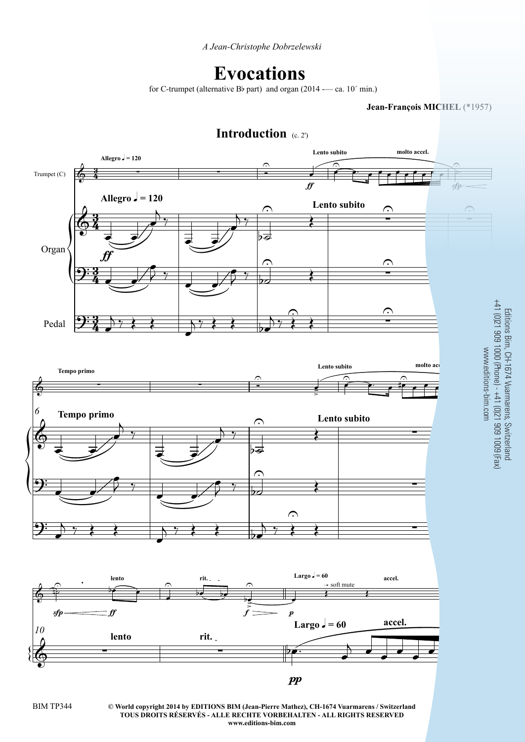*A Jean-Christophe Dobrzelewski*

## **Evocations**

for C-trumpet (alternative Bb part) and organ (2014 -— ca. 10´ min.)

**Jean-François MICHEL** (\*1957)



BIM TP344

**© World copyright 2014 by EDITIONS BIM (Jean-Pierre Mathez), CH-1674 Vuarmarens / SwitzerlandTOUS DROITS RÉSERVÉS - ALLE RECHTE VORBEHALTEN - ALL RIGHTS RESERVEDwww.editions-bim.com**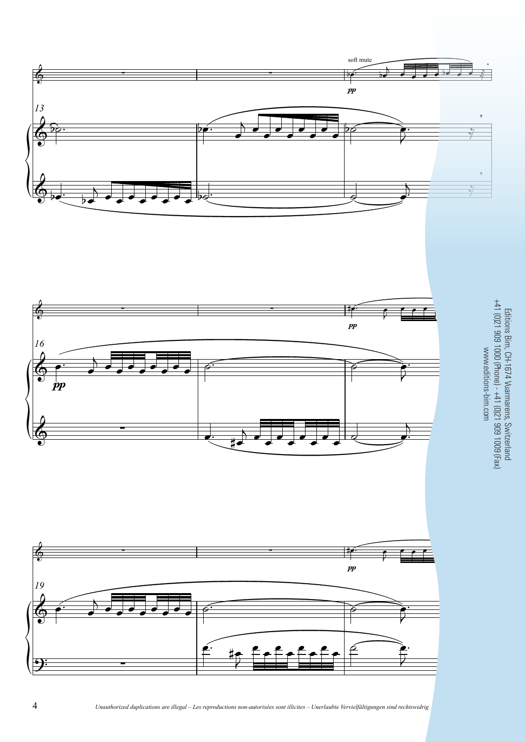





 $\frac{1}{2}$ <br>  $\frac{1}{2}$ rens, Sw<br>(0)21 90<br>.com Editions Bim, CH-1674 Vuarmarens, Switzerland +41 (0)21 909 1000 (Phone) - +41 (0)21 909 1009 (Fax) www.editions-bim.com

 $+$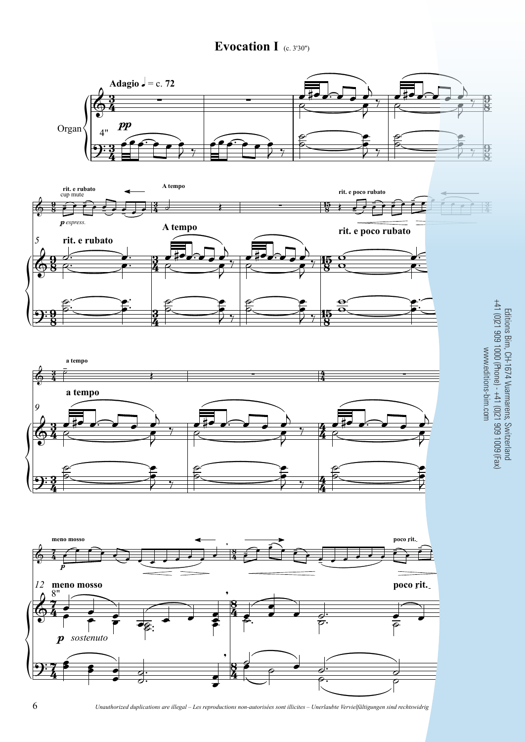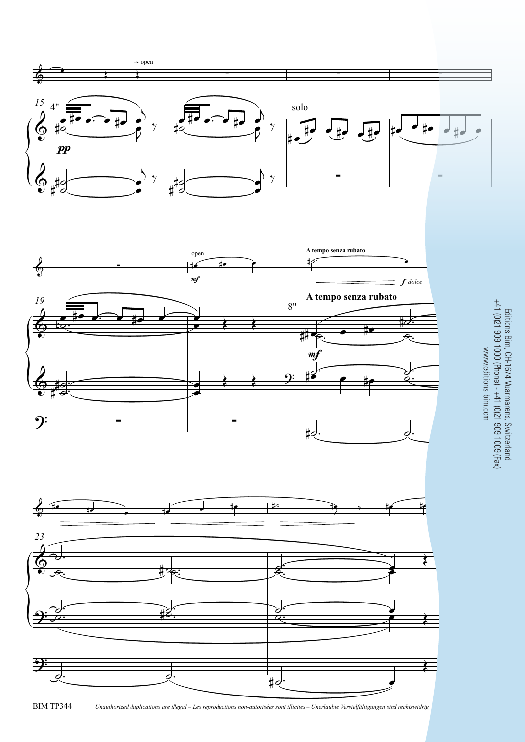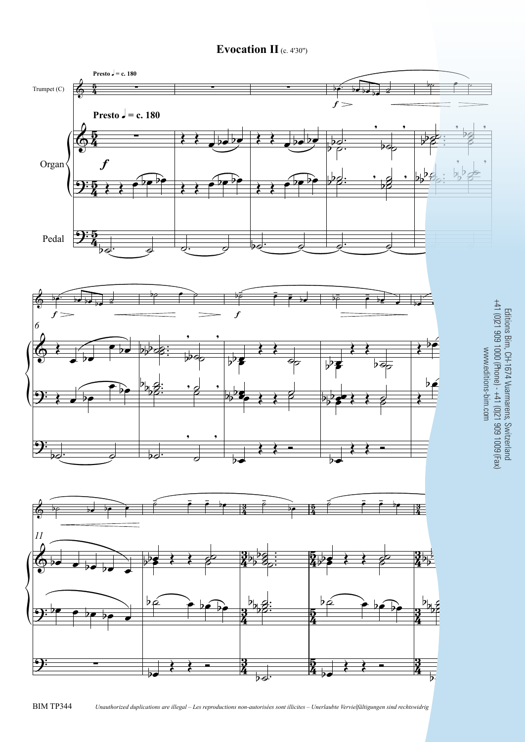

Editions Bim, CH-1674 Vuarmarens, Switzerland +41 (0)21 909 1000 (Phone) - +41 (0)21 909 1009 (Fax)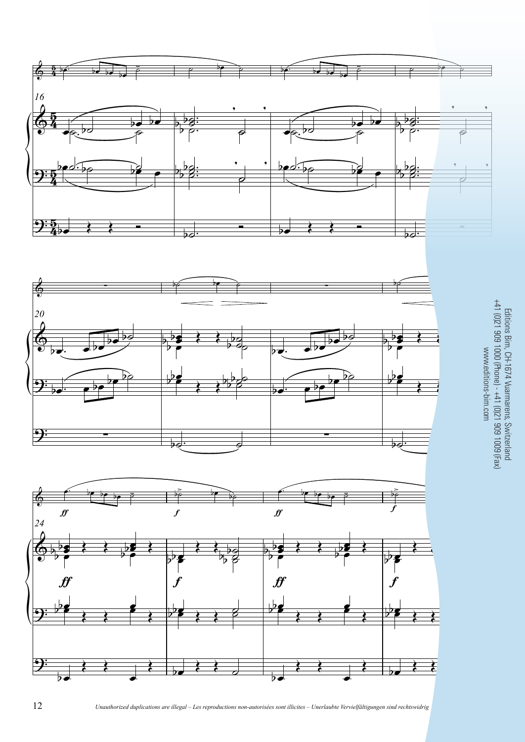





Editions Bim, CH-1674 Vuarmarens, Switzerland +41 (0)21 909 1000 (Phone) - +41 (0)21 909 1009 (Fax) www.editions-bim.com

12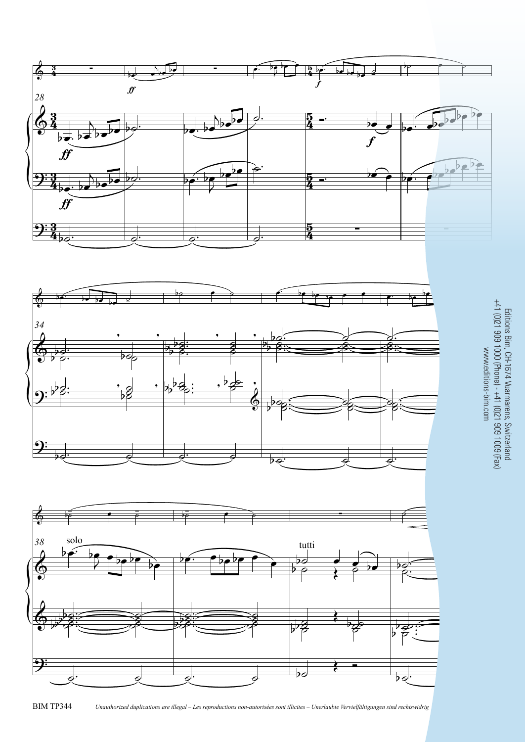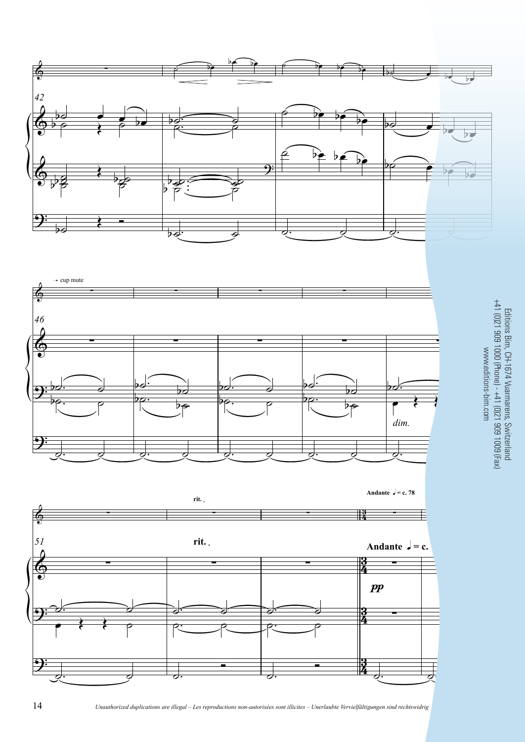



**Andante**  $\sqrt{ }$  = c. 78



**rit.**